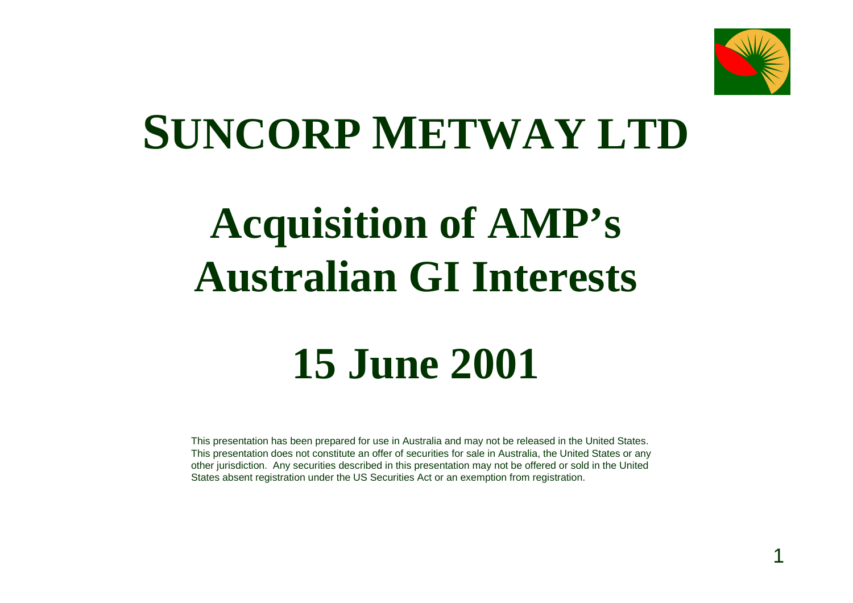

1

# **SUNCORP METWAY LTD**

# **Acquisition of AMP's Australian GI Interests**

#### **15 June 2001**

This presentation has been prepared for use in Australia and may not be released in the United States. This presentation does not constitute an offer of securities for sale in Australia, the United States or any other jurisdiction. Any securities described in this presentation may not be offered or sold in the United States absent registration under the US Securities Act or an exemption from registration.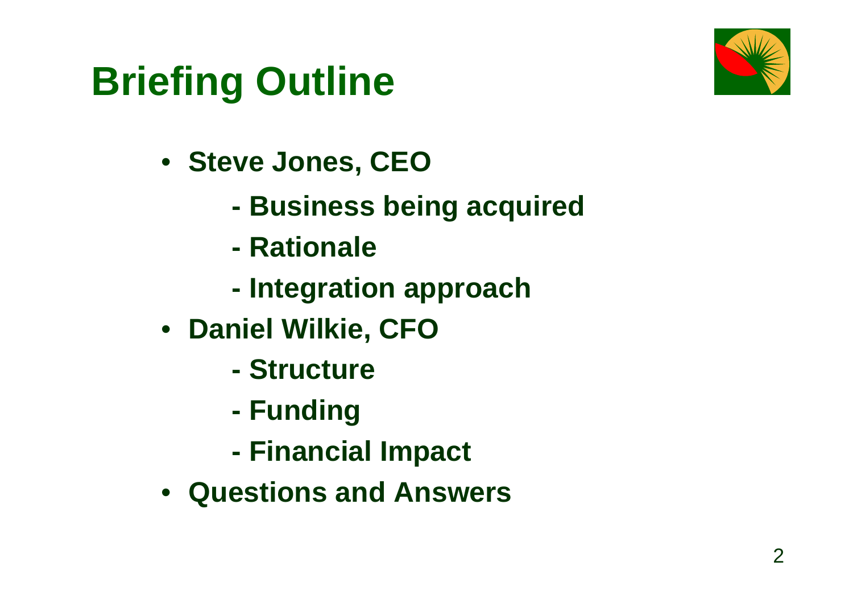

# **Briefing Outline**

- **Steve Jones, CEO**
	- **Business being acquired**
	- **Rationale**
	- **Integration approach**
- **Daniel Wilkie, CFO**
	- **Structure**
	- **Funding**
	- **Financial Impact**
- **Questions and Answers**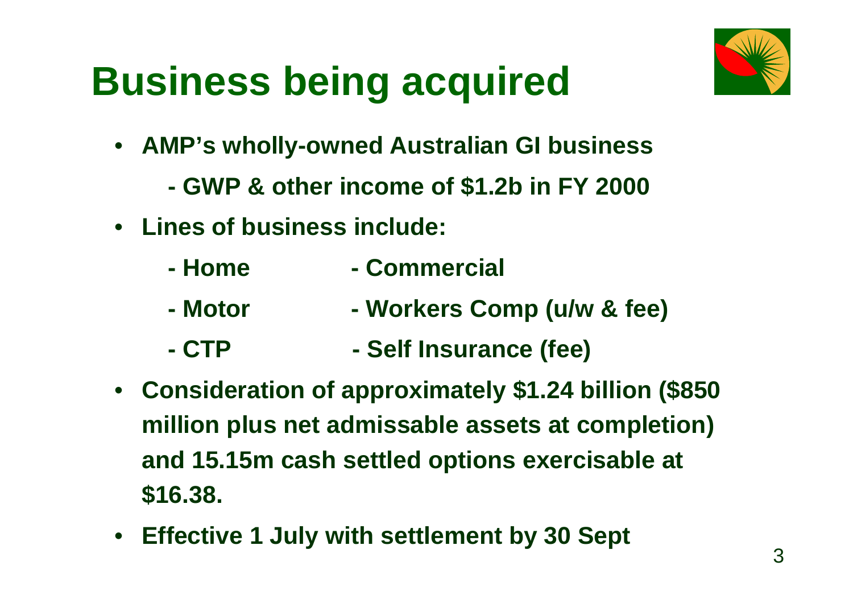

# **Business being acquired**

- **AMP's wholly-owned Australian GI business**
	- **GWP & other income of \$1.2b in FY 2000**
- **Lines of business include:**
	- **Home Commercial**
	- **Motor Workers Comp (u/w & fee)**
	- **CTP Self Insurance (fee)**
- **Consideration of approximately \$1.24 billion (\$850 million plus net admissable assets at completion) and 15.15m cash settled options exercisable at \$16.38.**
- **Effective 1 July with settlement by 30 Sept**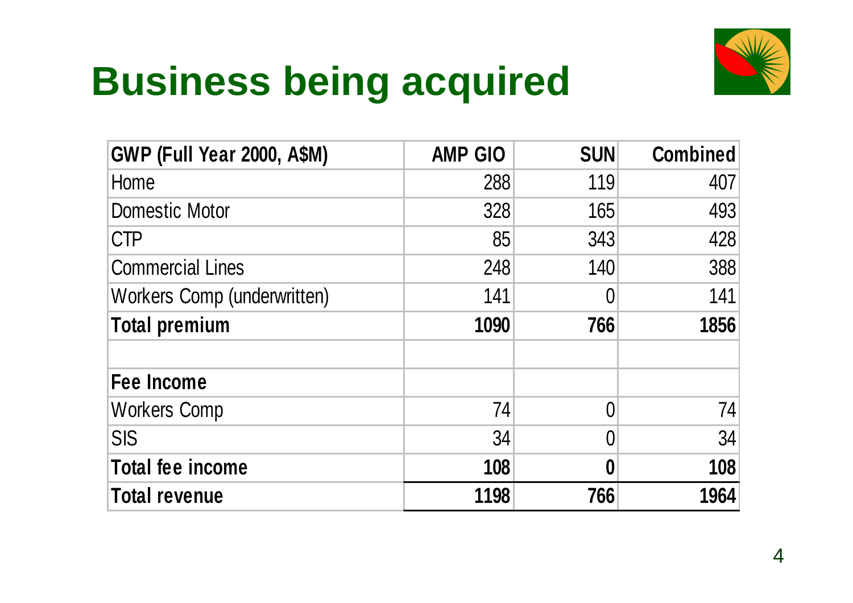# **Business being acquired**



| <b>GWP (Full Year 2000, A\$M)</b> | <b>AMP GIO</b> | <b>SUN</b>     | <b>Combined</b> |
|-----------------------------------|----------------|----------------|-----------------|
| Home                              | 288            | 119            | 407             |
| <b>Domestic Motor</b>             | 328            | 165            | 493             |
| <b>CTP</b>                        | 85             | 343            | 428             |
| <b>Commercial Lines</b>           | 248            | 140            | 388             |
| Workers Comp (underwritten)       | 141            | $\overline{0}$ | 141             |
| <b>Total premium</b>              | 1090           | 766            | 1856            |
| <b>Fee Income</b>                 |                |                |                 |
| <b>Workers Comp</b>               | 74             | $\Omega$       | 74              |
| <b>SIS</b>                        | 34             | $\Omega$       | 34              |
| <b>Total fee income</b>           | 108            | 0              | 108             |
| Total revenue                     | 1198           | 766            | 1964            |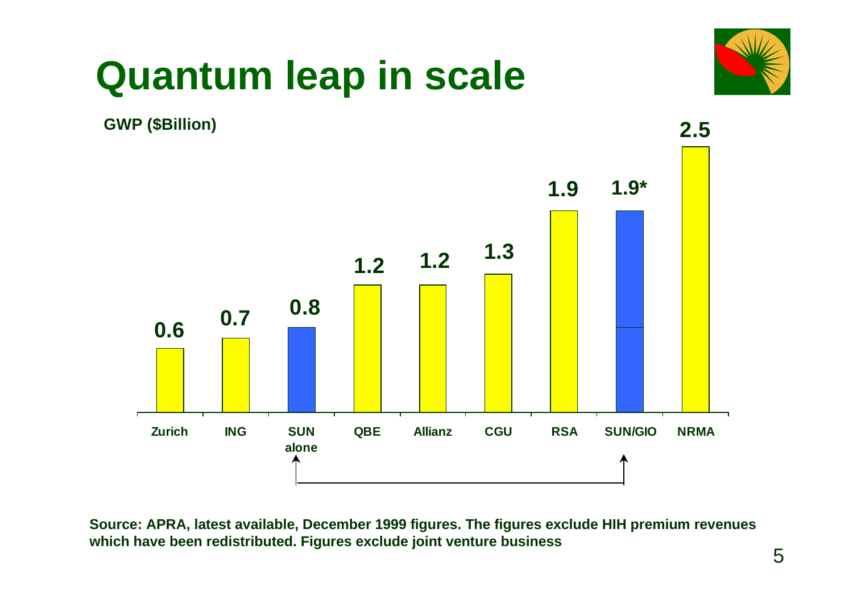

#### **Quantum leap in scale**



**Source: APRA, latest available, December 1999 figures. The figures exclude HIH premium revenues which have been redistributed. Figures exclude joint venture business**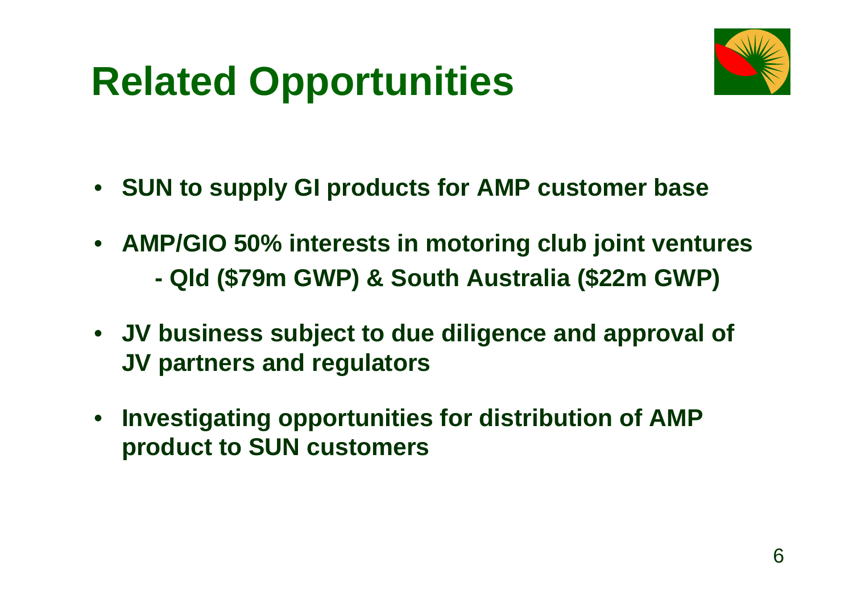# **Related Opportunities**

- **SUN to supply GI products for AMP customer base**
- **AMP/GIO 50% interests in motoring club joint ventures - Qld (\$79m GWP) & South Australia (\$22m GWP)**
- **JV business subject to due diligence and approval of JV partners and regulators**
- • **Investigating opportunities for distribution of AMP product to SUN customers**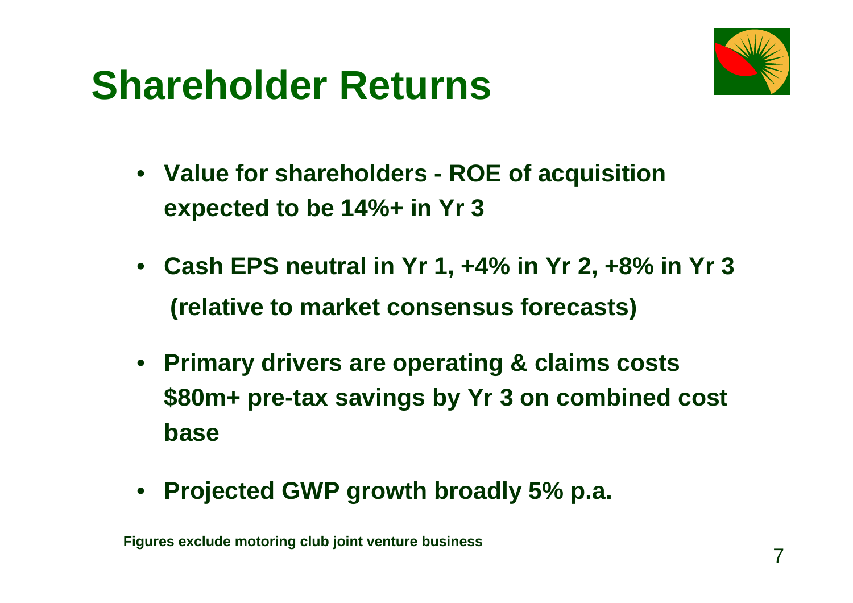#### **Shareholder Returns**



- **Value for shareholders ROE of acquisition expected to be 14%+ in Yr 3**
- **Cash EPS neutral in Yr 1, +4% in Yr 2, +8% in Yr 3 (relative to market consensus forecasts)**
- **Primary drivers are operating & claims costs \$80m+ pre-tax savings by Yr 3 on combined cost base**
- **Projected GWP growth broadly 5% p.a.**

**Figures exclude motoring club joint venture business**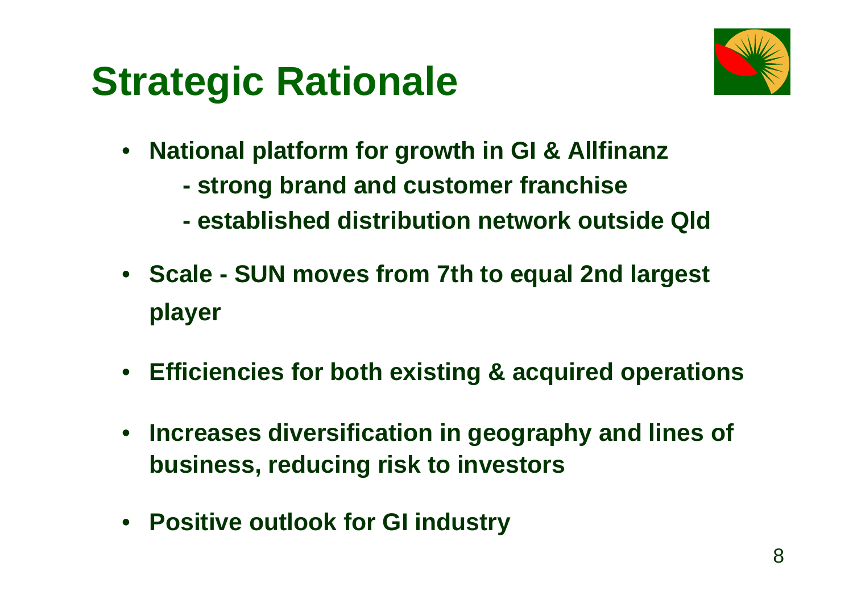### **Strategic Rationale**



- **National platform for growth in GI & Allfinanz**
	- **strong brand and customer franchise**
	- **established distribution network outside Qld**
- **Scale SUN moves from 7th to equal 2nd largest player**
- **Efficiencies for both existing & acquired operations**
- $\bullet$  **Increases diversification in geography and lines of business, reducing risk to investors**
- **Positive outlook for GI industry**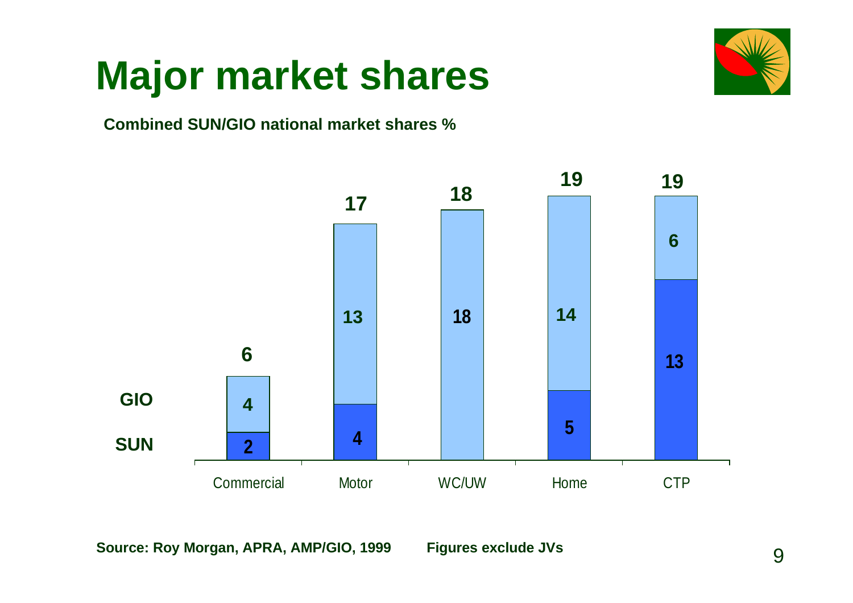

#### **Major market shares**

#### **Combined SUN/GIO national market shares %**



**Source: Roy Morgan, APRA, AMP/GIO, 1999 Figures exclude JVs**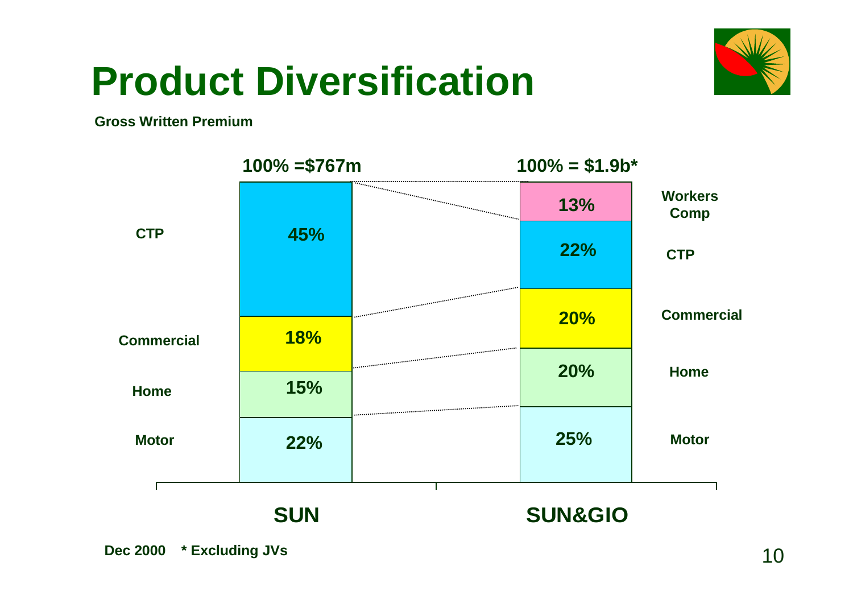

#### **Product Diversification**

#### **Gross Written Premium**

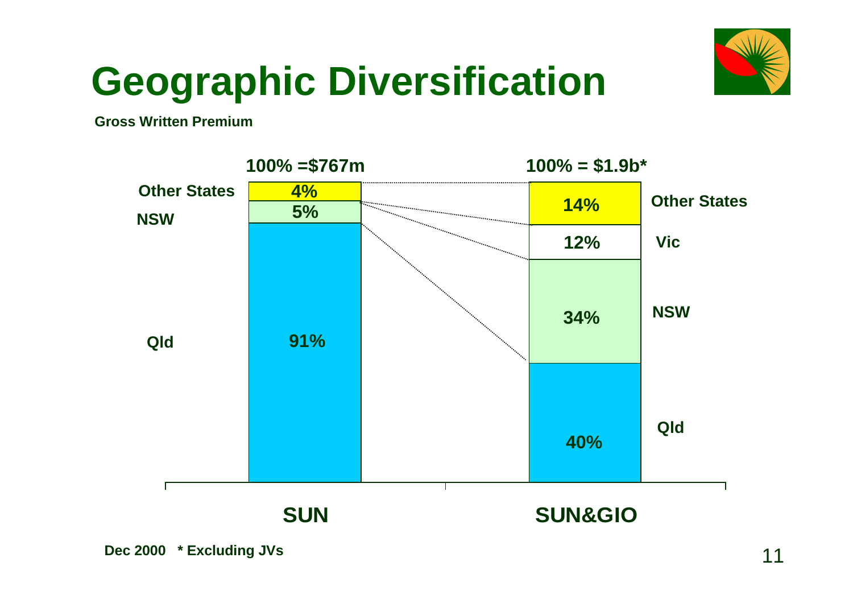

# **Geographic Diversification**

**Gross Written Premium**

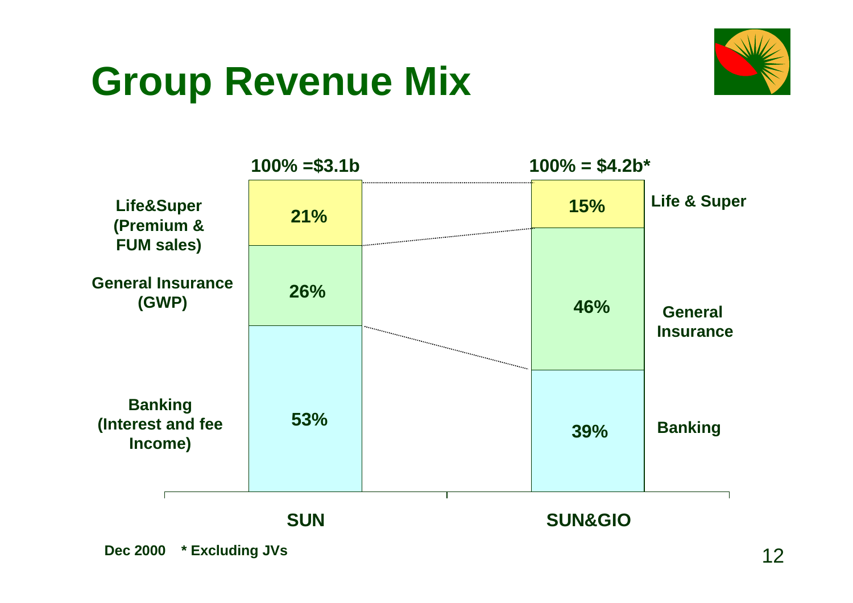### **Group Revenue Mix**



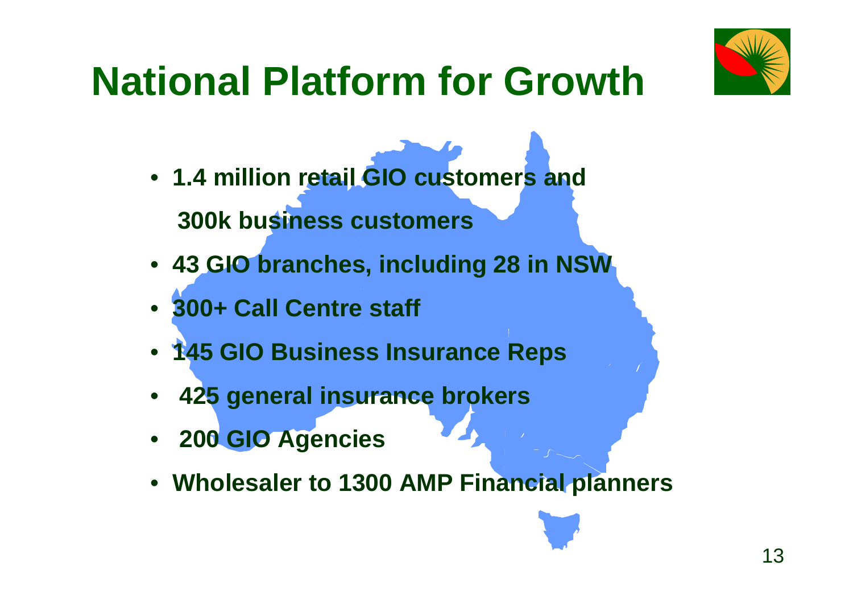

# **National Platform for Growth**

- • **1.4 million retail GIO customers and 300k business customers**
- • **43 GIO branches, including 28 in NSW**
- • **300+ Call Centre staff**
- • **145 GIO Business Insurance Reps**
- • **425 general insurance brokers**
- • **200 GIO Agencies**
- • **Wholesaler to 1300 AMP Financial planners**

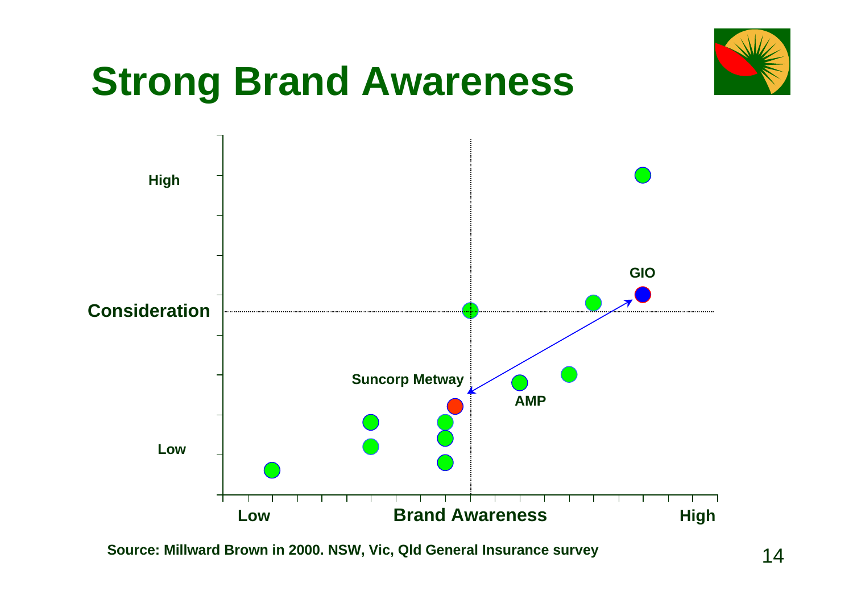

**Source: Millward Brown in 2000. NSW, Vic, Qld General Insurance survey**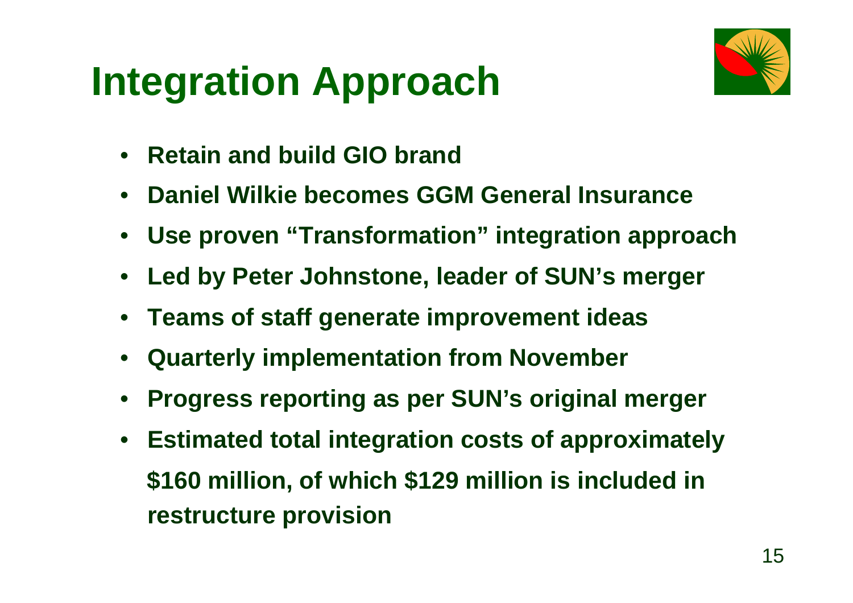# **Integration Approach**



- •**Retain and build GIO brand**
- •**Daniel Wilkie becomes GGM General Insurance**
- •**Use proven "Transformation" integration approach**
- •**Led by Peter Johnstone, leader of SUN's merger**
- •**Teams of staff generate improvement ideas**
- •**Quarterly implementation from November**
- •**Progress reporting as per SUN's original merger**
- • **Estimated total integration costs of approximately \$160 million, of which \$129 million is included in restructure provision**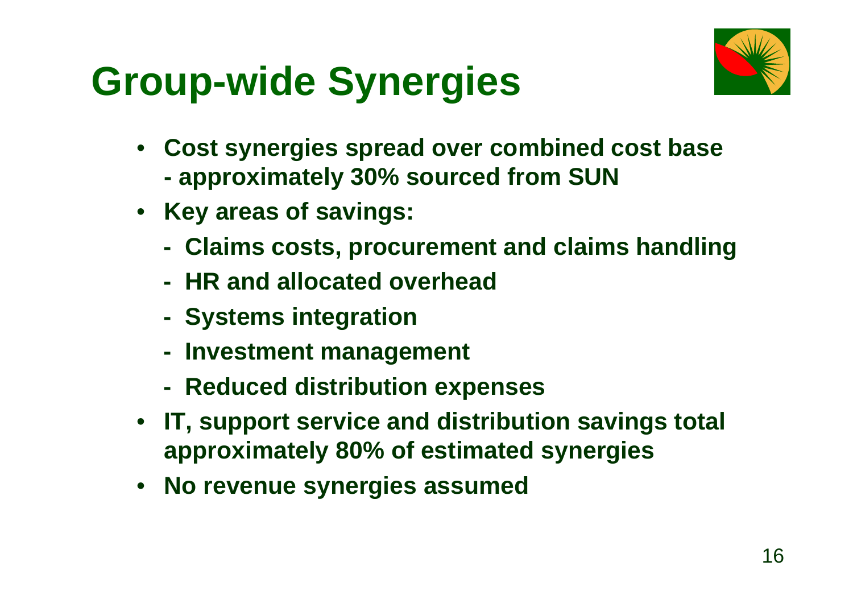# **Group-wide Synergies**



- • **Cost synergies spread over combined cost base - approximately 30% sourced from SUN**
- **Key areas of savings:**
	- **Claims costs, procurement and claims handling**
	- **HR and allocated overhead**
	- **Systems integration**
	- **Investment management**
	- **Reduced distribution expenses**
- **IT, support service and distribution savings total approximately 80% of estimated synergies**
- $\bullet$ **No revenue synergies assumed**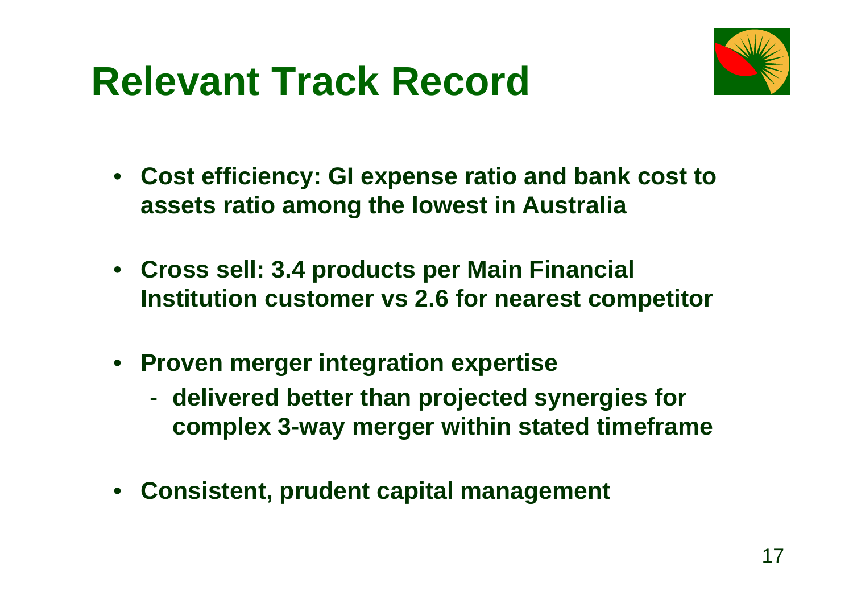### **Relevant Track Record**



- **Cost efficiency: GI expense ratio and bank cost to assets ratio among the lowest in Australia**
- **Cross sell: 3.4 products per Main Financial Institution customer vs 2.6 for nearest competitor**
- **Proven merger integration expertise**
	- $\mathcal{L}_{\mathcal{A}}$  **delivered better than projected synergies for complex 3-way merger within stated timeframe**
- $\bullet$ **Consistent, prudent capital management**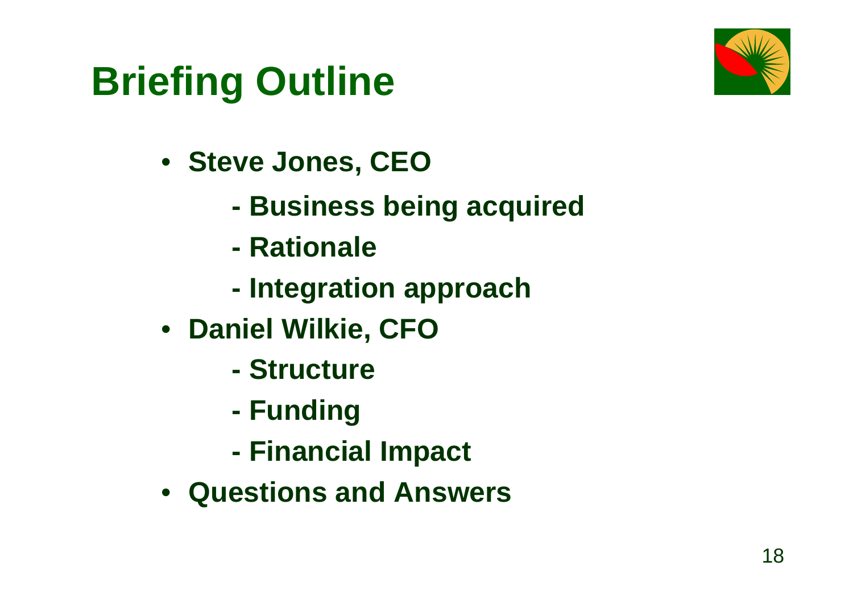

# **Briefing Outline**

- **Steve Jones, CEO**
	- **Business being acquired**
	- **Rationale**
	- **Integration approach**
- **Daniel Wilkie, CFO**
	- **Structure**
	- **Funding**
	- **Financial Impact**
- **Questions and Answers**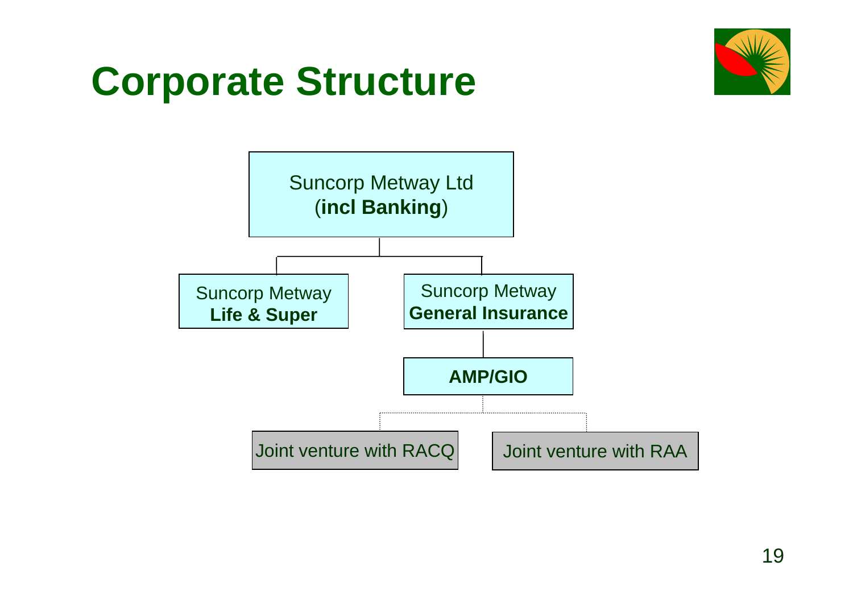### **Corporate Structure**



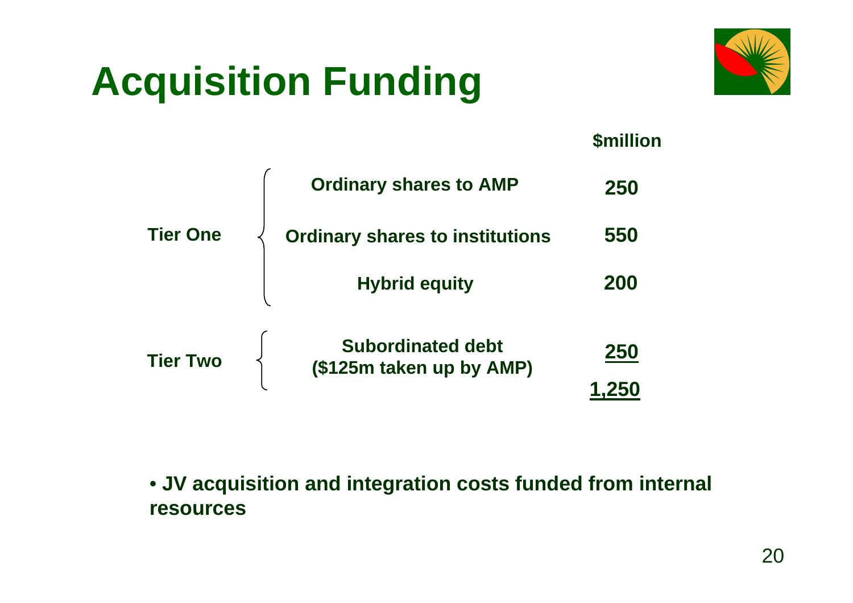# **Acquisition Funding**



|                 |                                                      | <b>\$million</b> |
|-----------------|------------------------------------------------------|------------------|
|                 | <b>Ordinary shares to AMP</b>                        | 250              |
| <b>Tier One</b> | <b>Ordinary shares to institutions</b>               | 550              |
|                 | <b>Hybrid equity</b>                                 | 200              |
| <b>Tier Two</b> | <b>Subordinated debt</b><br>(\$125m taken up by AMP) | 250              |
|                 |                                                      |                  |

• **JV acquisition and integration costs funded from internal resources**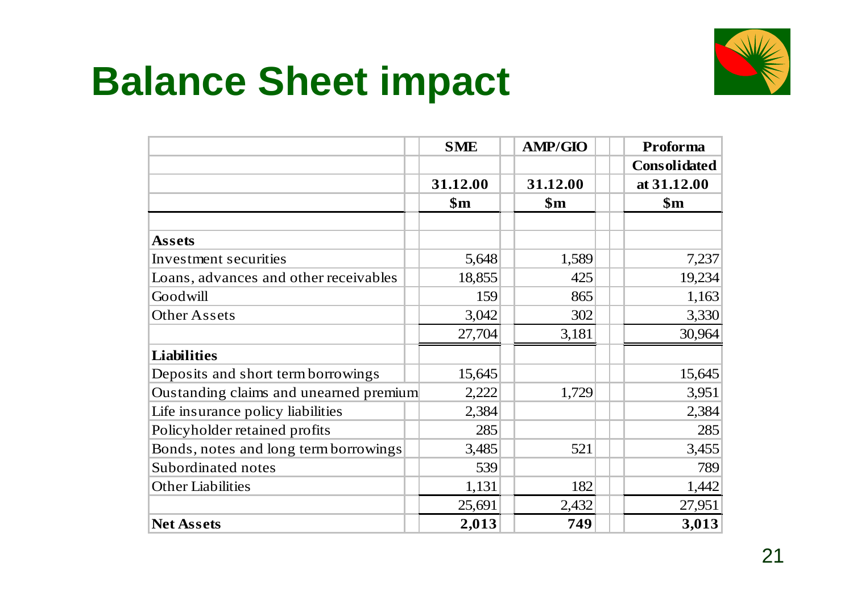#### **Balance Sheet impact**



|                                        | <b>SME</b>     | <b>AMP/GIO</b> | Proforma            |
|----------------------------------------|----------------|----------------|---------------------|
|                                        |                |                | <b>Consolidated</b> |
|                                        | 31.12.00       | 31.12.00       | at 31.12.00         |
|                                        | $\mathbf{\$m}$ | $\mathbf{\$m}$ | $\mathbf{\$m}$      |
|                                        |                |                |                     |
| <b>Assets</b>                          |                |                |                     |
| Investment securities                  | 5,648          | 1,589          | 7,237               |
| Loans, advances and other receivables  | 18,855         | 425            | 19,234              |
| Goodwill                               | 159            | 865            | 1,163               |
| <b>Other Assets</b>                    | 3,042          | 302            | 3,330               |
|                                        | 27,704         | 3,181          | 30,964              |
| <b>Liabilities</b>                     |                |                |                     |
| Deposits and short term borrowings     | 15,645         |                | 15,645              |
| Oustanding claims and unearned premium | 2,222          | 1,729          | 3,951               |
| Life insurance policy liabilities      | 2,384          |                | 2,384               |
| Policyholder retained profits          | 285            |                | 285                 |
| Bonds, notes and long term borrowings  | 3,485          | 521            | 3,455               |
| Subordinated notes                     | 539            |                | 789                 |
| <b>Other Liabilities</b>               | 1,131          | 182            | 1,442               |
|                                        | 25,691         | 2,432          | 27,951              |
| <b>Net Assets</b>                      | 2,013          | 749            | 3,013               |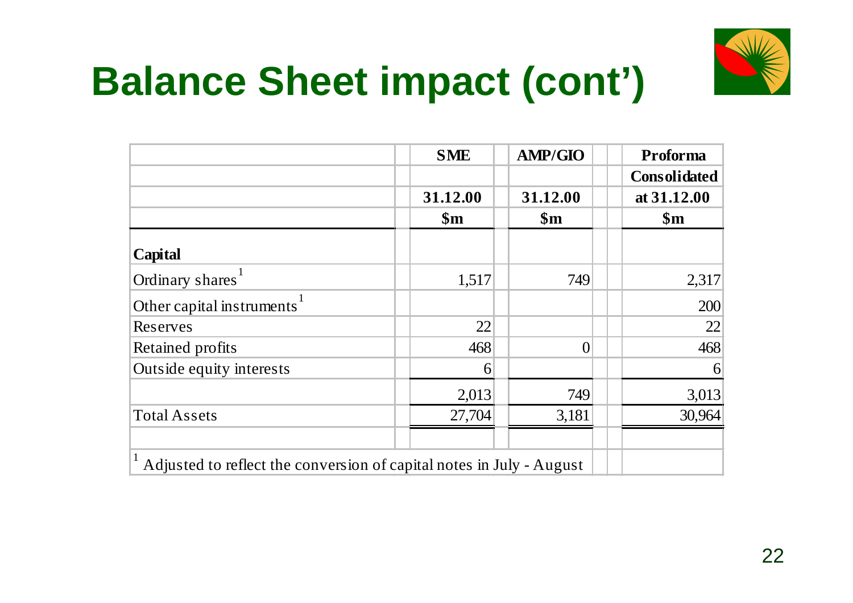# **Balance Sheet impact (cont')**



|                                                                      | <b>SME</b>     | <b>AMP/GIO</b> | Proforma            |
|----------------------------------------------------------------------|----------------|----------------|---------------------|
|                                                                      |                |                | <b>Consolidated</b> |
|                                                                      | 31.12.00       | 31.12.00       | at 31.12.00         |
|                                                                      | $\mathbf{\$m}$ | $\mathbf{\$m}$ | $\mathbf{\$m}$      |
| Capital                                                              |                |                |                     |
| Ordinary shares <sup>1</sup>                                         | 1,517          | 749            | 2,317               |
| Other capital instruments <sup>1</sup>                               |                |                | 200                 |
| Reserves                                                             | 22             |                | 22                  |
| Retained profits                                                     | 468            | $\Omega$       | 468                 |
| Outside equity interests                                             | 6              |                | $\vert 6 \vert$     |
|                                                                      | 2,013          | 749            | 3,013               |
| <b>Total Assets</b>                                                  | 27,704         | 3,181          | 30,964              |
| Adjusted to reflect the conversion of capital notes in July - August |                |                |                     |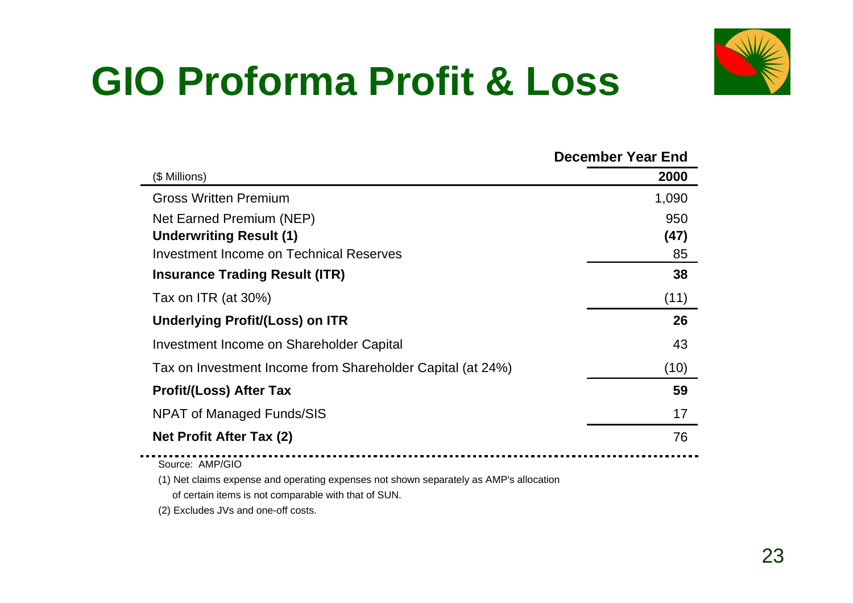# **GIO Proforma Profit & Loss**



|                                                            | December Year End |
|------------------------------------------------------------|-------------------|
| (\$ Millions)                                              | 2000              |
| <b>Gross Written Premium</b>                               | 1,090             |
| Net Earned Premium (NEP)                                   | 950               |
| <b>Underwriting Result (1)</b>                             | (47)              |
| <b>Investment Income on Technical Reserves</b>             | 85                |
| <b>Insurance Trading Result (ITR)</b>                      | 38                |
| Tax on ITR (at 30%)                                        | (11)              |
| Underlying Profit/(Loss) on ITR                            | 26                |
| Investment Income on Shareholder Capital                   | 43                |
| Tax on Investment Income from Shareholder Capital (at 24%) | (10)              |
| <b>Profit/(Loss) After Tax</b>                             | 59                |
| NPAT of Managed Funds/SIS                                  | 17                |
| <b>Net Profit After Tax (2)</b>                            | 76                |
| Source: AMP/GIO                                            |                   |

(1) Net claims expense and operating expenses not shown separately as AMP's allocation

of certain items is not comparable with that of SUN.

(2) Excludes JVs and one-off costs.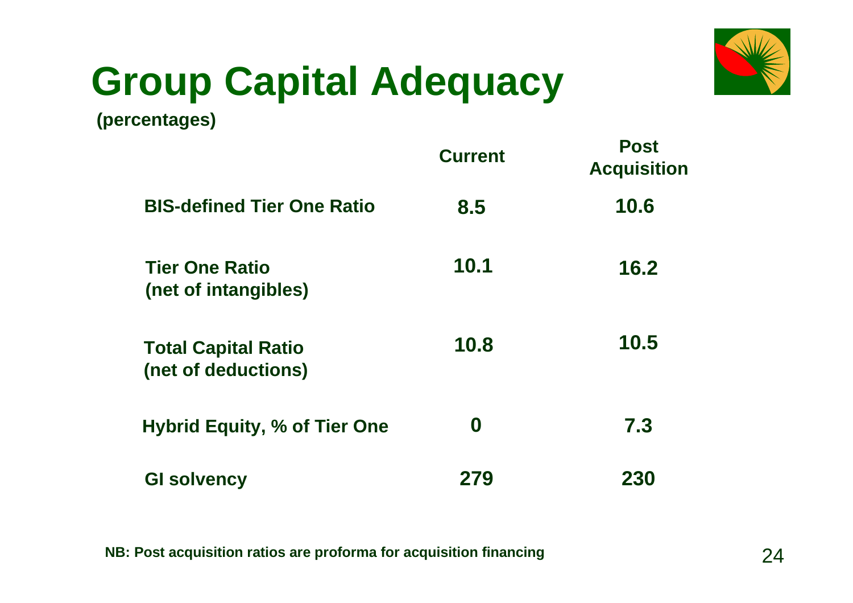# **Group Capital Adequacy**



**(percentages)**

|                                                   | <b>Current</b>   | <b>Post</b><br><b>Acquisition</b> |
|---------------------------------------------------|------------------|-----------------------------------|
| <b>BIS-defined Tier One Ratio</b>                 | 8.5              | 10.6                              |
| <b>Tier One Ratio</b><br>(net of intangibles)     | 10.1             | 16.2                              |
| <b>Total Capital Ratio</b><br>(net of deductions) | 10.8             | 10.5                              |
| <b>Hybrid Equity, % of Tier One</b>               | $\boldsymbol{0}$ | 7.3                               |
| <b>GI solvency</b>                                | 279              | 230                               |